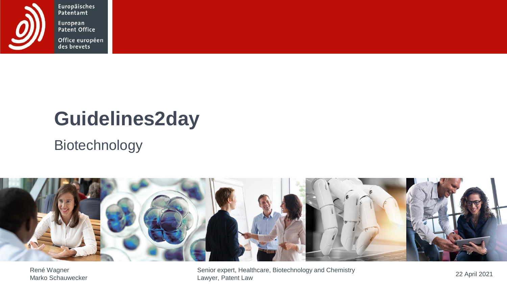

Europäisches<br>Patentamt European<br>Patent Office

Office européen<br>des brevets

# **Guidelines2day**

### Biotechnology



René Wagner

René Wagner Nagner Chemistry Senior expert, Healthcare, Biotechnology and Chemistry Chemistry 22 April 2021<br>Marko Schauwecker Chemistry Chemistry Chemistry Chemistry Chemistry Chemistry Chemistry Chemistry Chemistry Ch Lawyer, Patent Law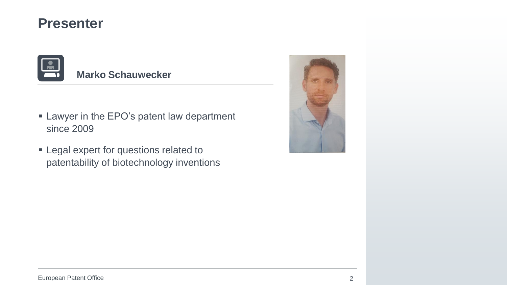### **Presenter**



#### **Marko Schauwecker**

- **EXECT:** Lawyer in the EPO's patent law department since 2009
- **Example 2** Legal expert for questions related to patentability of biotechnology inventions

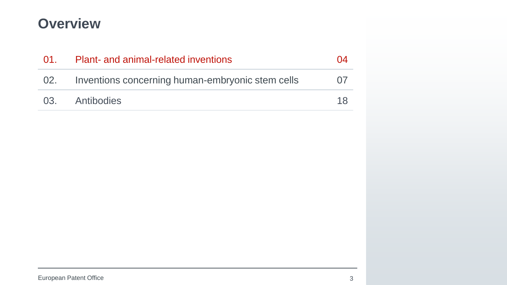### **Overview**

| $\overline{01}$ . | Plant- and animal-related inventions             | ( )4 |
|-------------------|--------------------------------------------------|------|
| 02.               | Inventions concerning human-embryonic stem cells | (17) |
|                   | 03. Antibodies                                   | 18   |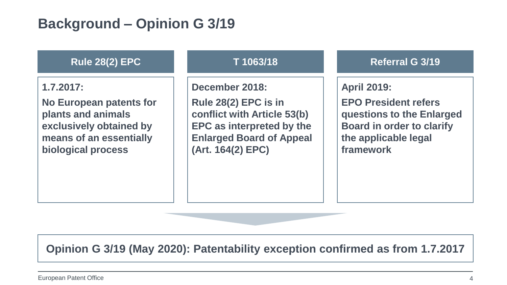### **Background – Opinion G 3/19**

#### **Rule 28(2) EPC**

**1.7.2017:**

**No European patents for plants and animals exclusively obtained by means of an essentially biological process**

#### **T 1063/18**

**December 2018:**

**Rule 28(2) EPC is in conflict with Article 53(b) EPC as interpreted by the Enlarged Board of Appeal (Art. 164(2) EPC)**

**Referral G 3/19**

**April 2019:**

**EPO President refers questions to the Enlarged Board in order to clarify the applicable legal framework**

**Opinion G 3/19 (May 2020): Patentability exception confirmed as from 1.7.2017**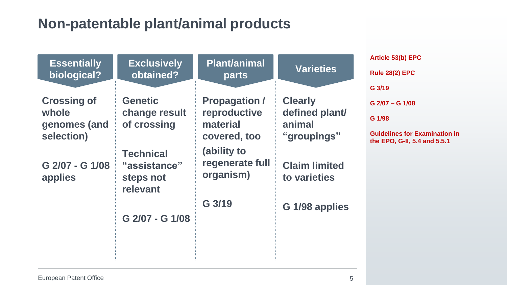### **Non-patentable plant/animal products**

| <b>Essentially</b>                                                                                     | <b>Exclusively</b>                                                                                                                          | <b>Plant/animal</b>                                                                                                                | <b>Varieties</b>                                                                                                    | Article 53(b) EPC                                                                                                                        |
|--------------------------------------------------------------------------------------------------------|---------------------------------------------------------------------------------------------------------------------------------------------|------------------------------------------------------------------------------------------------------------------------------------|---------------------------------------------------------------------------------------------------------------------|------------------------------------------------------------------------------------------------------------------------------------------|
| biological?<br><b>Crossing of</b><br>whole<br>genomes (and<br>selection)<br>G 2/07 - G 1/08<br>applies | obtained?<br><b>Genetic</b><br>change result<br>of crossing<br><b>Technical</b><br>"assistance"<br>steps not<br>relevant<br>G 2/07 - G 1/08 | parts<br><b>Propagation /</b><br>reproductive<br>material<br>covered, too<br>(ability to<br>regenerate full<br>organism)<br>G 3/19 | <b>Clearly</b><br>defined plant/<br>animal<br>"groupings"<br><b>Claim limited</b><br>to varieties<br>G 1/98 applies | <b>Rule 28(2) EPC</b><br>G 3/19<br>$G$ 2/07 – $G$ 1/08<br>G 1/98<br><b>Guidelines for Examination in</b><br>the EPO, G-II, 5.4 and 5.5.1 |
|                                                                                                        |                                                                                                                                             |                                                                                                                                    |                                                                                                                     |                                                                                                                                          |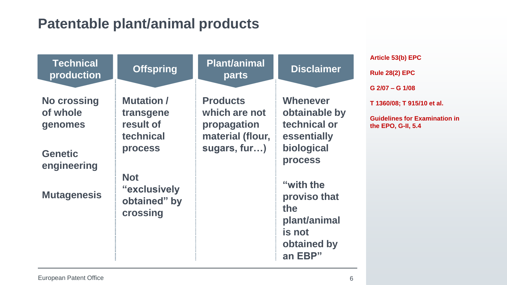### **Patentable plant/animal products**

| <b>Technical</b>              | <b>Offspring</b>                                       | <b>Plant/animal</b>                              | <b>Disclaimer</b>                                          | Article 53(b) EPC                                          |
|-------------------------------|--------------------------------------------------------|--------------------------------------------------|------------------------------------------------------------|------------------------------------------------------------|
| production                    |                                                        | parts                                            |                                                            | <b>Rule 28(2) EPC</b>                                      |
|                               |                                                        |                                                  |                                                            | $G$ 2/07 – G 1/08                                          |
| <b>No crossing</b>            | <b>Mutation /</b>                                      | <b>Products</b>                                  | <b>Whenever</b>                                            | T 1360/08; T 915/10 et al.                                 |
| of whole<br>genomes           | transgene<br>result of<br>technical                    | which are not<br>propagation<br>material (flour, | obtainable by<br>technical or<br>essentially               | <b>Guidelines for Examination in</b><br>the EPO, G-II, 5.4 |
| <b>Genetic</b><br>engineering | <b>process</b>                                         | sugars, fur)                                     | biological<br><b>process</b>                               |                                                            |
| <b>Mutagenesis</b>            | <b>Not</b><br>"exclusively<br>obtained" by<br>crossing |                                                  | "with the<br>proviso that<br>the<br>plant/animal<br>is not |                                                            |
|                               |                                                        |                                                  | obtained by<br>an EBP"                                     |                                                            |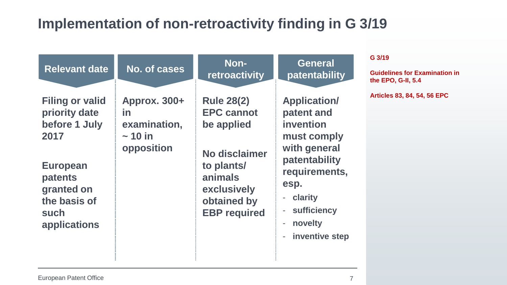### **Implementation of non-retroactivity finding in G 3/19**

| <b>Relevant date</b>                                                                                                                                 | No. of cases                                                            | Non-<br>retroactivity                                                                                                                               | <b>General</b><br>patentability                                                                                                                                                                                                                                              | G 3/19<br><b>Guidelines for Examination in</b><br>the EPO, G-II, 5.4 |
|------------------------------------------------------------------------------------------------------------------------------------------------------|-------------------------------------------------------------------------|-----------------------------------------------------------------------------------------------------------------------------------------------------|------------------------------------------------------------------------------------------------------------------------------------------------------------------------------------------------------------------------------------------------------------------------------|----------------------------------------------------------------------|
| <b>Filing or valid</b><br>priority date<br>before 1 July<br>2017<br><b>European</b><br>patents<br>granted on<br>the basis of<br>such<br>applications | <b>Approx. 300+</b><br>in<br>examination,<br>$\sim$ 10 in<br>opposition | <b>Rule 28(2)</b><br><b>EPC cannot</b><br>be applied<br>No disclaimer<br>to plants/<br>animals<br>exclusively<br>obtained by<br><b>EBP</b> required | <b>Application/</b><br>patent and<br>invention<br>must comply<br>with general<br>patentability<br>requirements,<br>esp.<br>clarity<br>$\overline{\phantom{a}}$<br>sufficiency<br>$\qquad \qquad \blacksquare$<br>novelty<br>÷,<br>inventive step<br>$\overline{\phantom{a}}$ | Articles 83, 84, 54, 56 EPC                                          |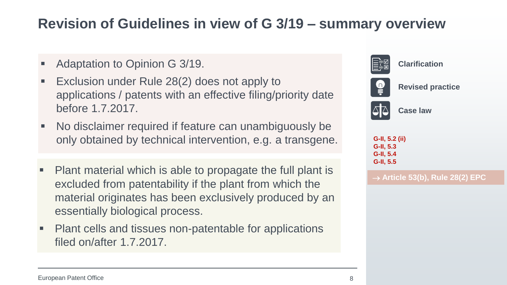### **Revision of Guidelines in view of G 3/19 – summary overview**

- Adaptation to Opinion G 3/19.
- Exclusion under Rule 28(2) does not apply to applications / patents with an effective filing/priority date before 1.7.2017.
- No disclaimer required if feature can unambiguously be only obtained by technical intervention, e.g. a transgene. **[G-II, 5.2 \(ii\)](https://www.epo.org/law-practice/legal-texts/html/guidelines/e/g_vi_8.htm)**
- Plant material which is able to propagate the full plant is excluded from patentability if the plant from which the material originates has been exclusively produced by an essentially biological process.
- Plant cells and tissues non-patentable for applications filed on/after 1.7.2017.



→ **Article 53(b), Rule 28(2) EPC**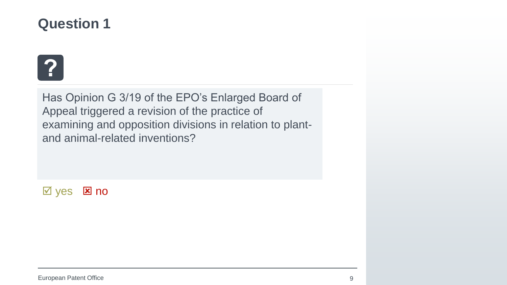

Has Opinion G 3/19 of the EPO's Enlarged Board of Appeal triggered a revision of the practice of examining and opposition divisions in relation to plantand animal-related inventions?

 $\overline{M}$  yes  $\overline{M}$  no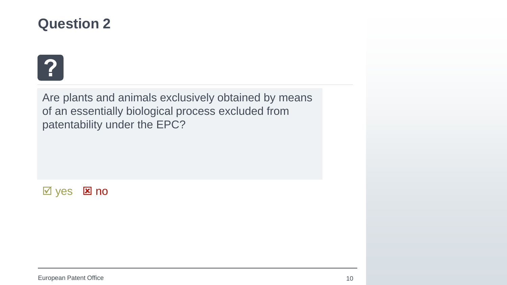

Are plants and animals exclusively obtained by means of an essentially biological process excluded from patentability under the EPC?

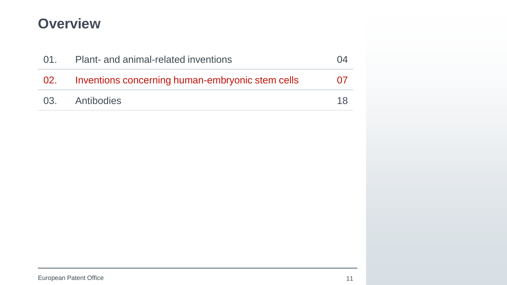### **Overview**

| 01.   | <b>Plant- and animal-related inventions</b>      |          |
|-------|--------------------------------------------------|----------|
| - 02. | Inventions concerning human-embryonic stem cells | $\Omega$ |
|       | 03. Antibodies                                   |          |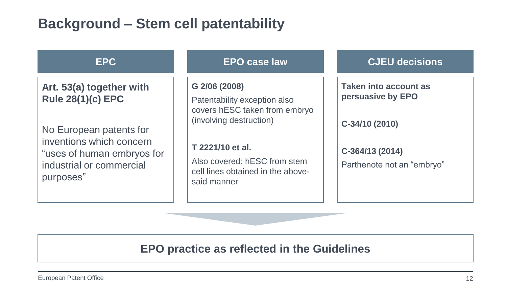### **Background – Stem cell patentability**

#### **EPC**

**Art. 53(a) together with Rule 28(1)(c) EPC**

No European patents for inventions which concern "uses of human embryos for industrial or commercial purposes"

#### **EPO case law**

#### **G 2/06 (2008)**

Patentability exception also covers hESC taken from embryo (involving destruction)

#### **T 2221/10 et al.**

Also covered: hESC from stem cell lines obtained in the abovesaid manner

#### **CJEU decisions**

**Taken into account as persuasive by EPO**

**C-34/10 (2010)**

**C-364/13 (2014)**

Parthenote not an "embryo"

### **EPO practice as reflected in the Guidelines**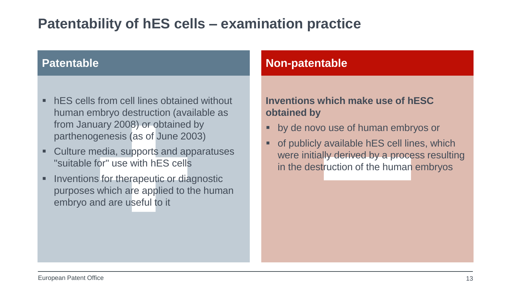### **Patentability of hES cells – examination practice**

- hES cells from cell lines obtained without human embryo destruction (available as from January 2008) or obtained by parthenogenesis (as of June 2003)
- Culture media, supports and apparatuses "suitable for" use with hES cells
- **EXEC** Inventions for the apeutic or diagnostic purposes which are applied to the human embryo and are useful to it

#### **Patentable Non-patentable**

### **Inventions which make use of hESC obtained by**

- by de novo use of human embryos or
- of publicly available hES cell lines, which were initially derived by a process resulting in the destruction of the human embryos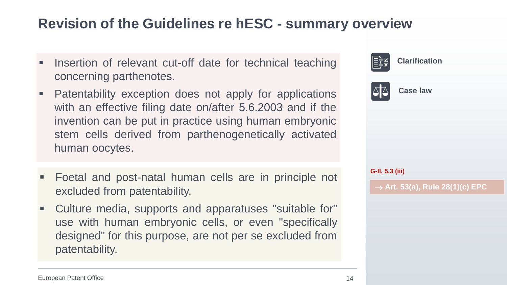### **Revision of the Guidelines re hESC - summary overview**

- Insertion of relevant cut-off date for technical teaching concerning parthenotes.
- **Patentability exception does not apply for applications** with an effective filing date on/after 5.6.2003 and if the invention can be put in practice using human embryonic stem cells derived from parthenogenetically activated human oocytes.
- Foetal and post-natal human cells are in principle not excluded from patentability.
- Culture media, supports and apparatuses "suitable for" use with human embryonic cells, or even "specifically designed" for this purpose, are not per se excluded from patentability.

| ।⊟≑⊠∣           | ,,,,,,,,,,,,,,,,                      |
|-----------------|---------------------------------------|
|                 | A Case law                            |
|                 |                                       |
|                 |                                       |
| G-II, 5.3 (iii) |                                       |
|                 | $\rightarrow$ Art. 53(a), Rule 28(1)( |

**Clarification**

→ **Art. 53(a), Rule 28(1)(c) EPC**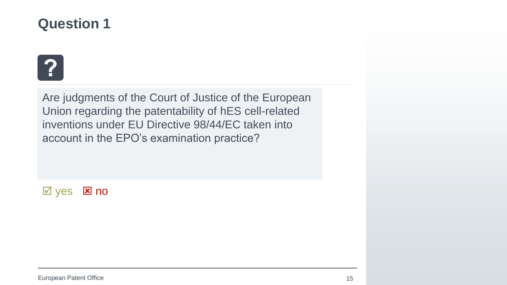

Are judgments of the Court of Justice of the European Union regarding the patentability of hES cell-related inventions under EU Directive 98/44/EC taken into account in the EPO's examination practice?

 $\boxtimes$  yes  $\boxtimes$  no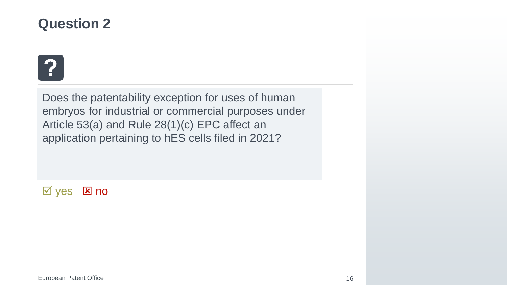

Does the patentability exception for uses of human embryos for industrial or commercial purposes under Article 53(a) and Rule 28(1)(c) EPC affect an application pertaining to hES cells filed in 2021?

 $\boxtimes$  yes  $\boxtimes$  no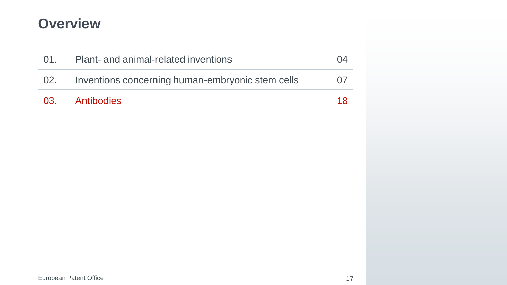### **Overview**

| 01. | <b>Plant- and animal-related inventions</b>      |      |
|-----|--------------------------------------------------|------|
| 02. | Inventions concerning human-embryonic stem cells | (17) |
|     | 03. Antibodies                                   | 18   |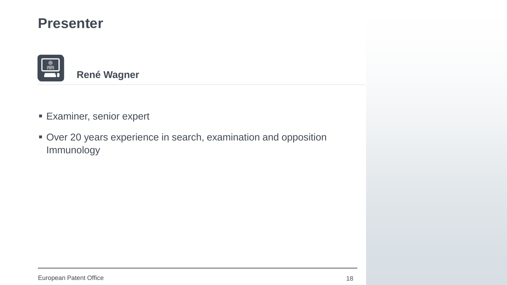### **Presenter**



- **Examiner, senior expert**
- **Over 20 years experience in search, examination and opposition** Immunology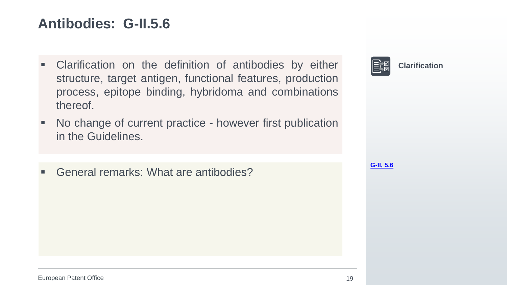### **Antibodies: G-II.5.6**

- **EXEC** Clarification on the definition of antibodies by either structure, target antigen, functional features, production process, epitope binding, hybridoma and combinations thereof.
- No change of current practice however first publication in the Guidelines.
- General remarks: What are antibodies?



**[G-II, 5.6](https://www.epo.org/law-practice/legal-texts/html/guidelines/e/g_vi_8.htm)**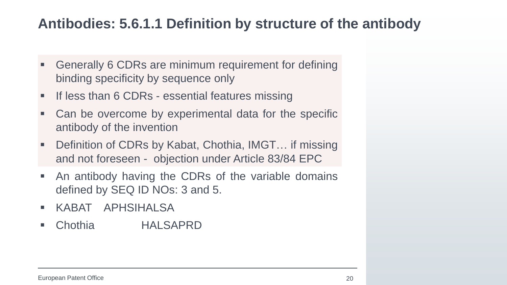### **Antibodies: 5.6.1.1 Definition by structure of the antibody**

- Generally 6 CDRs are minimum requirement for defining binding specificity by sequence only
- $\frac{1}{4}$  Figures and Figures [essential features](https://www.epo.org/law-practice/legal-texts/html/guidelines/e/f_iv_4_5.htm) essential features essential features essential f **If less than 6 CDRs - essential features missing**
- Can be overcome by experimental data for the specific antibody of the invention
- Definition of CDRs by Kabat, Chothia, IMGT... if missing and not foreseen - objection under Article 83/84 EPC
- **EXT** An antibody having the CDRs of the variable domains defined by SEQ ID NOs: 3 and 5.
- KABAT APHSIHALSA
- Chothia **HALSAPRD**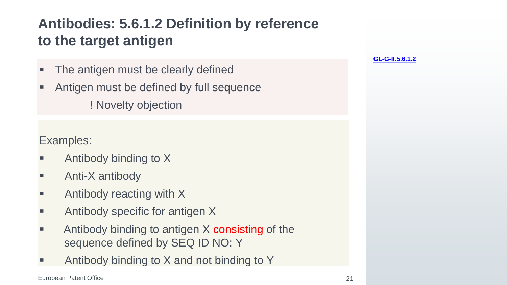## **Antibodies: 5.6.1.2 Definition by reference to the target antigen**

- The antigen must be clearly defined
- Antigen must be defined by full sequence ! Novelty objection

Examples:

- Antibody binding to  $X$
- Anti-X antibody
- Antibody reacting with  $X$
- Antibody specific for antigen X
- Antibody binding to antigen  $X$  consisting of the sequence defined by SEQ ID NO: Y
- Antibody binding to  $X$  and not binding to  $Y$

**[GL-G-II.5.6.1.2](https://www.epo.org/law-practice/legal-texts/html/guidelines/e/g_ii_5_6_1_2.htm)**

European Patent Office 21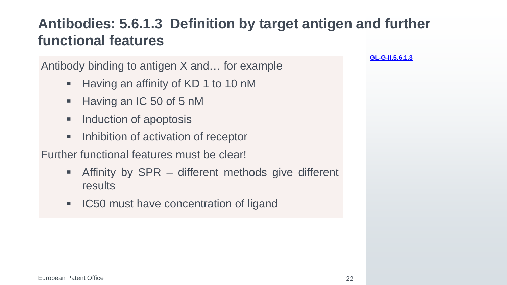### **Antibodies: 5.6.1.3 Definition by target antigen and further functional features**

Antibody binding to antigen X and… for example

- Having an affinity of KD 1 to 10 nM
- Having an IC 50 of 5 nM
- Induction of apoptosis
- Inhibition of activation of receptor

Further functional features must be clear!

- Affinity by  $SPR -$  different methods give different results
- **IC50 must have concentration of ligand**

**[GL-G-II.5.6.1.3](https://www.epo.org/law-practice/legal-texts/html/guidelines/e/g_ii_5_6_1_3.htm)**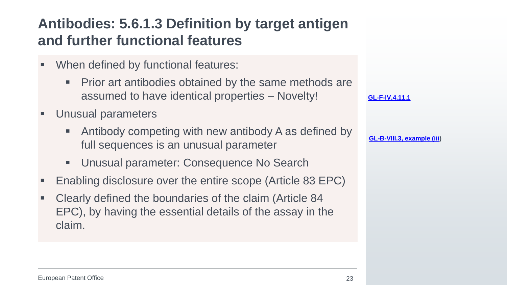## **Antibodies: 5.6.1.3 Definition by target antigen and further functional features**

- $\mathbb{R}^n$  is a subset of  $\mathbb{R}^n$ ■ When defined by functional features:
	- Prior art antibodies obtained by the same methods are assumed to have identical properties – Novelty!
- Unusual parameters
	- Antibody competing with new antibody A as defined by full sequences is an unusual parameter
	- Unusual parameter: Consequence No Search
- Enabling disclosure over the entire scope (Article 83 EPC)
- Clearly defined the boundaries of the claim (Article 84) EPC), by having the essential details of the assay in the claim.

| GL-F-IV.4.11.1 |  |
|----------------|--|
|----------------|--|

**[GL-B-VIII.3, example \(iii](https://www.epo.org/law-practice/legal-texts/html/guidelines/e/b_viii_3.htm))**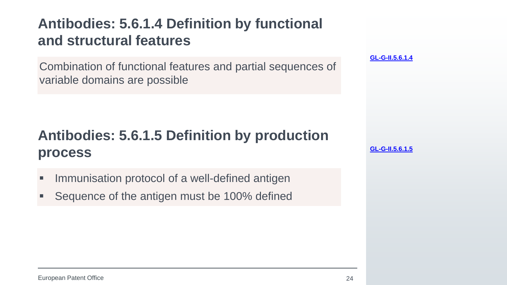### **Antibodies: 5.6.1.4 Definition by functional and structural features**

Combination of functional features and partial sequences of variable domains are possible

## **Antibodies: 5.6.1.5 Definition by production process**

- Immunisation protocol of a well-defined antigen
- Sequence of the antigen must be 100% defined

**[GL-G-II.5.6.1.4](https://www.epo.org/law-practice/legal-texts/html/guidelines/e/g_ii_5_6_1_4.htm)**

**[GL-G-II.5.6.1.5](https://www.epo.org/law-practice/legal-texts/html/guidelines/e/g_ii_5_6_1_5.htm)**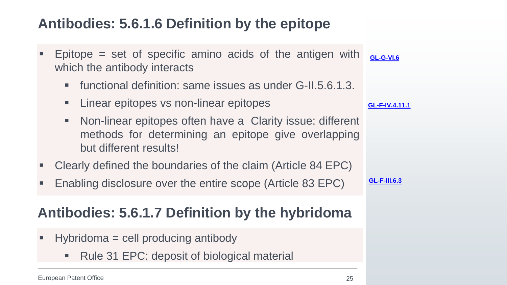### **Antibodies: 5.6.1.6 Definition by the epitope**

- **Epitope = set of specific amino acids of the antigen with**  $\frac{1}{16}$ which the antibody interacts
	- functional definition: same issues as under G-II.5.6.1.3.
	- Linear epitopes vs non-linear epitopes
	- Non-linear epitopes often have a Clarity issue: different methods for determining an epitope give overlapping but different results!
- Clearly defined the boundaries of the claim (Article 84 EPC)
- Enabling disclosure over the entire scope (Article 83 EPC)

### **Antibodies: 5.6.1.7 Definition by the hybridoma**

- $\blacksquare$  Hybridoma = cell producing antibody
	- Rule 31 EPC: deposit of biological material

**[GL-F-IV.4.11.1](https://www.epo.org/law-practice/legal-texts/html/guidelines/e/f_iv_4_11_1.htm)**

**[GL-F-III.6.3](https://www.epo.org/law-practice/legal-texts/html/guidelines/e/f_iv_4_11_1.htm)**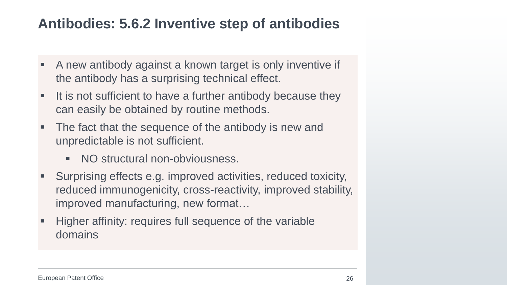### **Antibodies: 5.6.2 Inventive step of antibodies**

- A new antibody against a known target is only inventive if the antibody has a surprising technical effect.
- It is not sufficient to have a further antibody because they can easily be obtained by routine methods.
- The fact that the sequence of the antibody is new and unpredictable is not sufficient.
	- NO structural non-obviousness.
- Surprising effects e.g. improved activities, reduced toxicity, reduced immunogenicity, cross-reactivity, improved stability, improved manufacturing, new format…
- Higher affinity: requires full sequence of the variable domains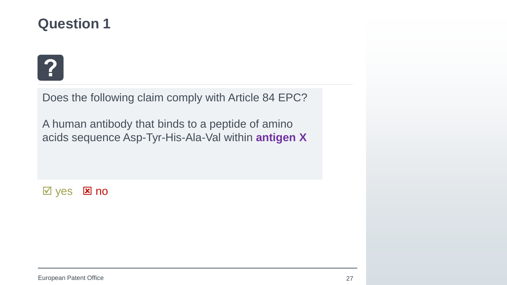

Does the following claim comply with Article 84 EPC?

A human antibody that binds to a peptide of amino acids sequence Asp-Tyr-His-Ala-Val within **antigen X**

 $\overline{M}$  yes  $\overline{M}$  no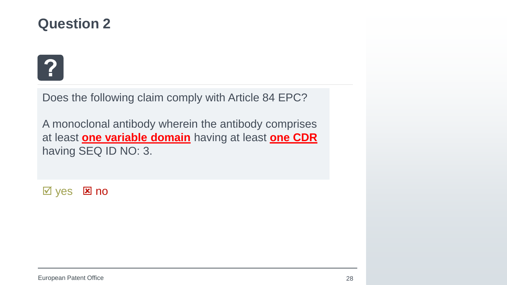

Does the following claim comply with Article 84 EPC?

A monoclonal antibody wherein the antibody comprises at least **one variable domain** having at least **one CDR**  having SEQ ID NO: 3.

 $\boxtimes$  yes  $\boxtimes$  no